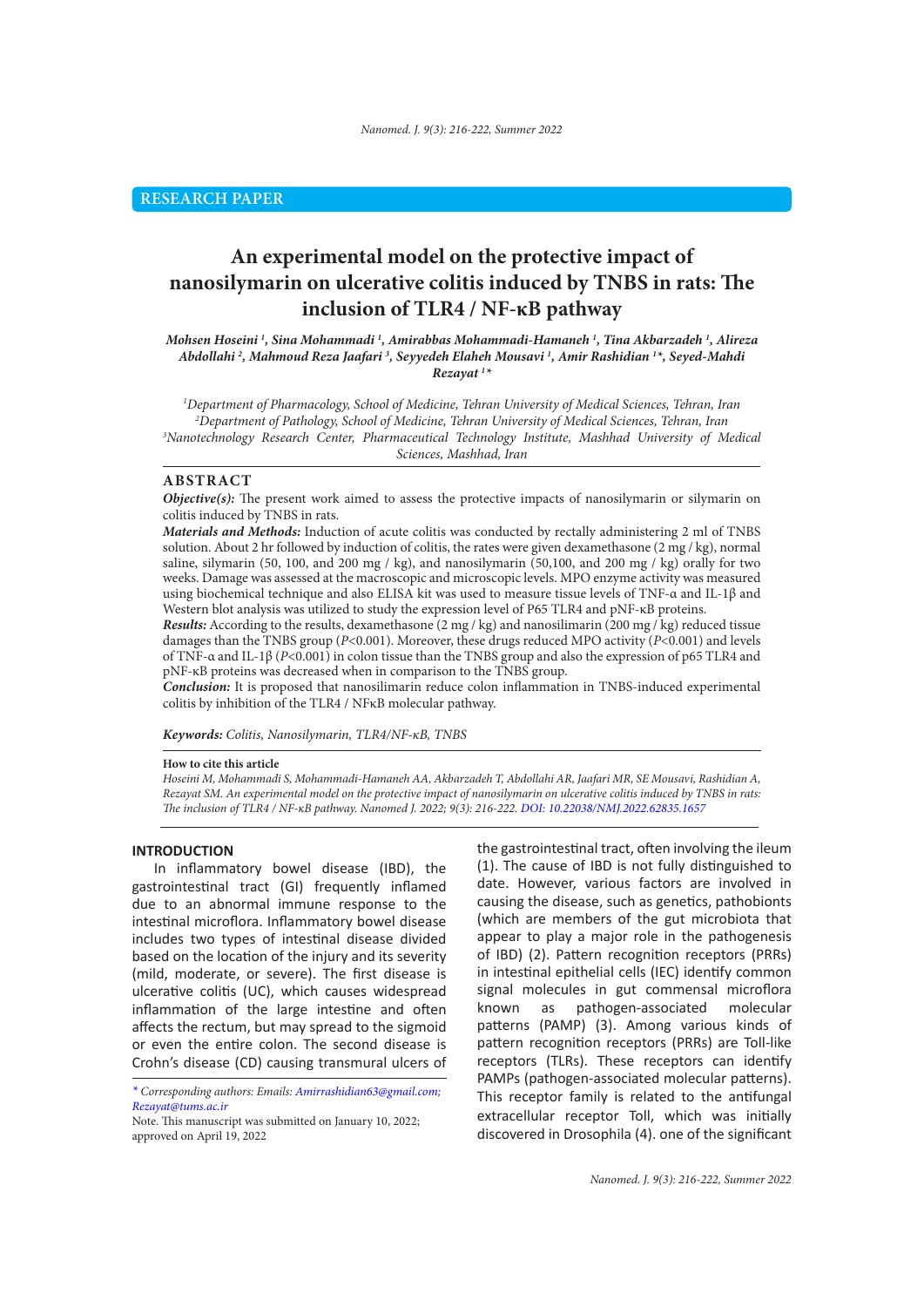# **An experimental model on the protective impact of nanosilymarin on ulcerative colitis induced by TNBS in rats: The inclusion of TLR4 / NF-κB pathway**

*Mohsen Hoseini 1 , Sina Mohammadi 1 , Amirabbas Mohammadi-Hamaneh 1 , Tina Akbarzadeh 1 , Alireza Abdollahi 2 , Mahmoud Reza Jaafari 3 , Seyyedeh Elaheh Mousavi 1 , Amir Rashidian 1 \*, Seyed-Mahdi Rezayat 1 \**

 *Department of Pharmacology, School of Medicine, Tehran University of Medical Sciences, Tehran, Iran Department of Pathology, School of Medicine, Tehran University of Medical Sciences, Tehran, Iran Nanotechnology Research Center, Pharmaceutical Technology Institute, Mashhad University of Medical Sciences, Mashhad, Iran*

## **ABSTRACT**

*Objective(s):* The present work aimed to assess the protective impacts of nanosilymarin or silymarin on colitis induced by TNBS in rats.

*Materials and Methods:* Induction of acute colitis was conducted by rectally administering 2 ml of TNBS solution. About 2 hr followed by induction of colitis, the rates were given dexamethasone (2 mg / kg), normal saline, silymarin (50, 100, and 200 mg / kg), and nanosilymarin (50,100, and 200 mg / kg) orally for two weeks. Damage was assessed at the macroscopic and microscopic levels. MPO enzyme activity was measured using biochemical technique and also ELISA kit was used to measure tissue levels of TNF-α and IL-1β and Western blot analysis was utilized to study the expression level of P65 TLR4 and pNF-κB proteins.

*Results:* According to the results, dexamethasone (2 mg / kg) and nanosilimarin (200 mg / kg) reduced tissue damages than the TNBS group (*P*<0.001). Moreover, these drugs reduced MPO activity (*P*<0.001) and levels of TNF-α and IL-1β (*P*<0.001) in colon tissue than the TNBS group and also the expression of p65 TLR4 and pNF-κB proteins was decreased when in comparison to the TNBS group.

*Conclusion:* It is proposed that nanosilimarin reduce colon inflammation in TNBS-induced experimental colitis by inhibition of the TLR4 / NFκB molecular pathway.

*Keywords: Colitis, Nanosilymarin, TLR4/NF-κB, TNBS* 

#### **How to cite this article**

*Hoseini M, Mohammadi S, Mohammadi-Hamaneh AA, Akbarzadeh T, Abdollahi AR, Jaafari MR, SE Mousavi, Rashidian A, Rezayat SM. An experimental model on the protective impact of nanosilymarin on ulcerative colitis induced by TNBS in rats: The inclusion of TLR4 / NF-κB pathway. Nanomed J. 2022; 9(3): 216-222. DOI: 10.22038/NMJ.2022.62835.1657*

#### **INTRODUCTION**

In inflammatory bowel disease (IBD), the gastrointestinal tract (GI) frequently inflamed due to an abnormal immune response to the intestinal microflora. Inflammatory bowel disease includes two types of intestinal disease divided based on the location of the injury and its severity (mild, moderate, or severe). The first disease is ulcerative colitis (UC), which causes widespread inflammation of the large intestine and often affects the rectum, but may spread to the sigmoid or even the entire colon. The second disease is Crohn's disease (CD) causing transmural ulcers of the gastrointestinal tract, often involving the ileum (1). The cause of IBD is not fully distinguished to date. However, various factors are involved in causing the disease, such as genetics, pathobionts (which are members of the gut microbiota that appear to play a major role in the pathogenesis of IBD) (2). Pattern recognition receptors (PRRs) in intestinal epithelial cells (IEC) identify common signal molecules in gut commensal microflora known as pathogen-associated molecular patterns (PAMP) (3). Among various kinds of pattern recognition receptors (PRRs) are Toll-like receptors (TLRs). These receptors can identify PAMPs (pathogen-associated molecular patterns). This receptor family is related to the antifungal extracellular receptor Toll, which was initially discovered in Drosophila (4). one of the significant

*<sup>\*</sup> Corresponding authors: Emails: Amirrashidian63@gmail.com; Rezayat@tums.ac.ir*

Note. This manuscript was submitted on January 10, 2022; approved on April 19, 2022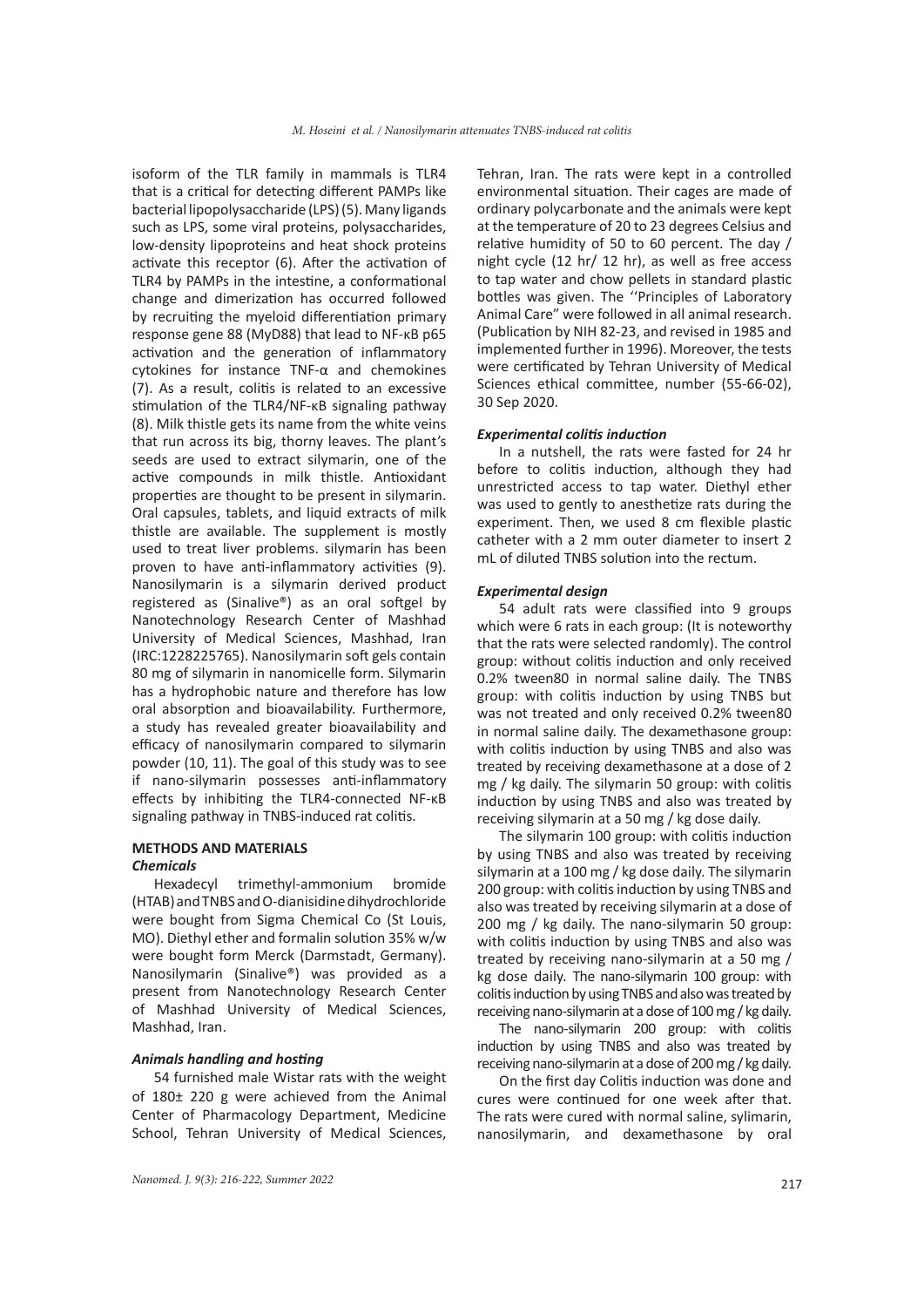isoform of the TLR family in mammals is TLR4 that is a critical for detecting different PAMPs like bacterial lipopolysaccharide (LPS) (5). Many ligands such as LPS, some viral proteins, polysaccharides, low-density lipoproteins and heat shock proteins activate this receptor (6). After the activation of TLR4 by PAMPs in the intestine, a conformational change and dimerization has occurred followed by recruiting the myeloid differentiation primary response gene 88 (MyD88) that lead to NF-κB p65 activation and the generation of inflammatory cytokines for instance TNF-α and chemokines (7). As a result, colitis is related to an excessive stimulation of the TLR4/NF-κB signaling pathway (8). Milk thistle gets its name from the white veins that run across its big, thorny leaves. The plant's seeds are used to extract silymarin, one of the active compounds in milk thistle. Antioxidant properties are thought to be present in silymarin. Oral capsules, tablets, and liquid extracts of milk thistle are available. The supplement is mostly used to treat liver problems. silymarin has been proven to have anti-inflammatory activities (9). Nanosilymarin is a silymarin derived product registered as (Sinalive®) as an oral softgel by Nanotechnology Research Center of Mashhad University of Medical Sciences, Mashhad, Iran (IRC:1228225765). Nanosilymarin soft gels contain 80 mg of silymarin in nanomicelle form. Silymarin has a hydrophobic nature and therefore has low oral absorption and bioavailability. Furthermore, a study has revealed greater bioavailability and efficacy of nanosilymarin compared to silymarin powder (10, 11). The goal of this study was to see if nano-silymarin possesses anti-inflammatory effects by inhibiting the TLR4-connected NF-κB signaling pathway in TNBS-induced rat colitis.

## **METHODS AND MATERIALS**

## *Chemicals*

Hexadecyl trimethyl-ammonium bromide (HTAB) and TNBS and O-dianisidine dihydrochloride were bought from Sigma Chemical Co (St Louis, MO). Diethyl ether and formalin solution 35% w/w were bought form Merck (Darmstadt, Germany). Nanosilymarin (Sinalive®) was provided as a present from Nanotechnology Research Center of Mashhad University of Medical Sciences, Mashhad, Iran.

## *Animals handling and hosting*

54 furnished male Wistar rats with the weight of 180± 220 g were achieved from the Animal Center of Pharmacology Department, Medicine School, Tehran University of Medical Sciences, Tehran, Iran. The rats were kept in a controlled environmental situation. Their cages are made of ordinary polycarbonate and the animals were kept at the temperature of 20 to 23 degrees Celsius and relative humidity of 50 to 60 percent. The day / night cycle (12 hr/ 12 hr), as well as free access to tap water and chow pellets in standard plastic bottles was given. The ''Principles of Laboratory Animal Care" were followed in all animal research. (Publication by NIH 82-23, and revised in 1985 and implemented further in 1996). Moreover, the tests were certificated by Tehran University of Medical Sciences ethical committee, number (55-66-02), 30 Sep 2020.

#### *Experimental colitis induction*

In a nutshell, the rats were fasted for 24 hr before to colitis induction, although they had unrestricted access to tap water. Diethyl ether was used to gently to anesthetize rats during the experiment. Then, we used 8 cm flexible plastic catheter with a 2 mm outer diameter to insert 2 mL of diluted TNBS solution into the rectum.

#### *Experimental design*

54 adult rats were classified into 9 groups which were 6 rats in each group: (It is noteworthy that the rats were selected randomly). The control group: without colitis induction and only received 0.2% tween80 in normal saline daily. The TNBS group: with colitis induction by using TNBS but was not treated and only received 0.2% tween80 in normal saline daily. The dexamethasone group: with colitis induction by using TNBS and also was treated by receiving dexamethasone at a dose of 2 mg / kg daily. The silymarin 50 group: with colitis induction by using TNBS and also was treated by receiving silymarin at a 50 mg / kg dose daily.

The silymarin 100 group: with colitis induction by using TNBS and also was treated by receiving silymarin at a 100 mg / kg dose daily. The silymarin 200 group: with colitis induction by using TNBS and also was treated by receiving silymarin at a dose of 200 mg / kg daily. The nano-silymarin 50 group: with colitis induction by using TNBS and also was treated by receiving nano-silymarin at a 50 mg / kg dose daily. The nano-silymarin 100 group: with colitis induction by using TNBS and also was treated by receiving nano-silymarin at a dose of 100 mg / kg daily.

The nano-silymarin 200 group: with colitis induction by using TNBS and also was treated by receiving nano-silymarin at a dose of 200 mg / kg daily.

On the first day Colitis induction was done and cures were continued for one week after that. The rats were cured with normal saline, sylimarin, nanosilymarin, and dexamethasone by oral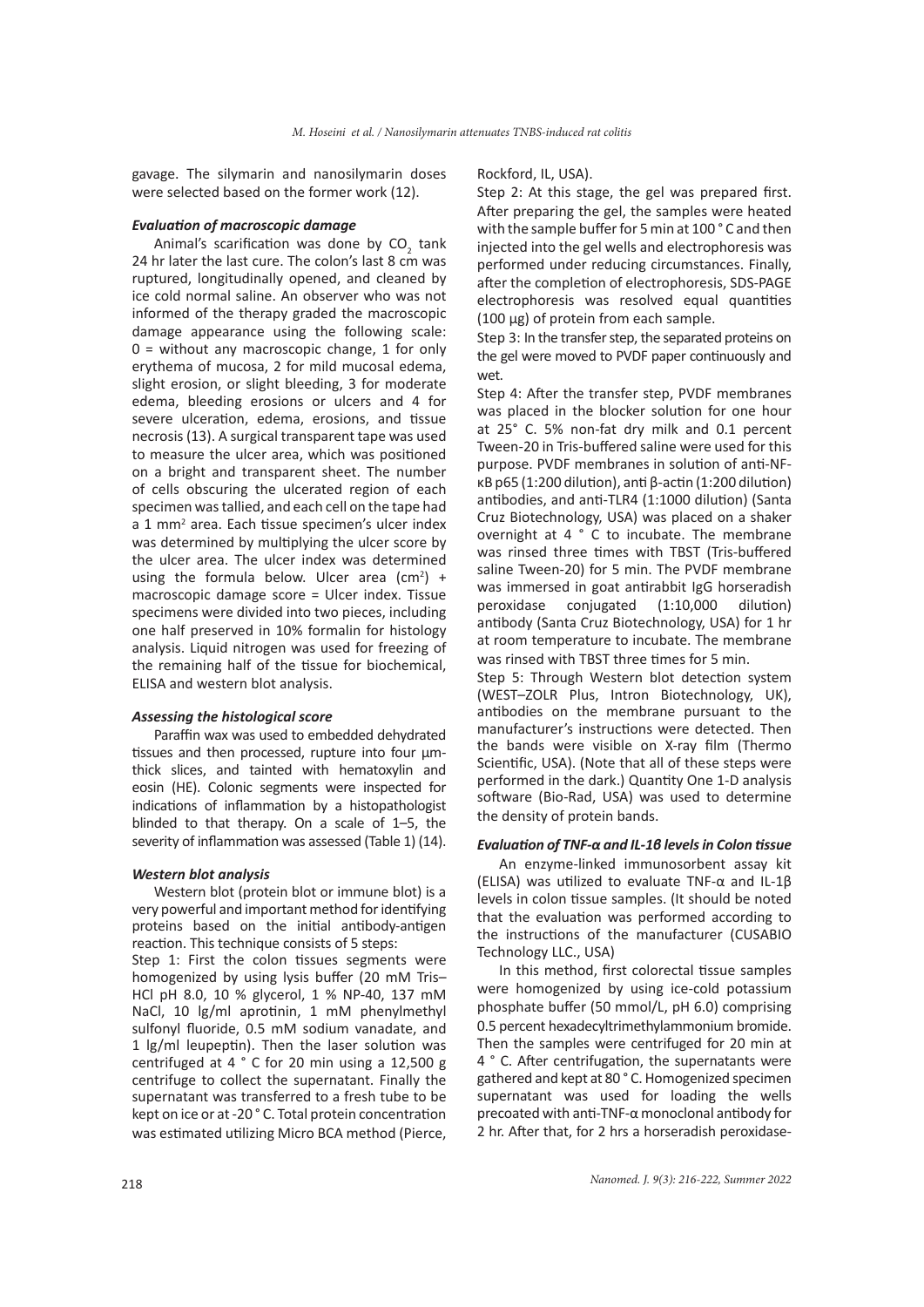gavage. The silymarin and nanosilymarin doses were selected based on the former work (12).

#### *Evaluation of macroscopic damage*

Animal's scarification was done by  $CO<sub>2</sub>$  tank 24 hr later the last cure. The colon's last 8 cm was ruptured, longitudinally opened, and cleaned by ice cold normal saline. An observer who was not informed of the therapy graded the macroscopic damage appearance using the following scale:  $0 =$  without any macroscopic change, 1 for only erythema of mucosa, 2 for mild mucosal edema, slight erosion, or slight bleeding, 3 for moderate edema, bleeding erosions or ulcers and 4 for severe ulceration, edema, erosions, and tissue necrosis (13). A surgical transparent tape was used to measure the ulcer area, which was positioned on a bright and transparent sheet. The number of cells obscuring the ulcerated region of each specimen was tallied, and each cell on the tape had a 1 mm<sup>2</sup> area. Each tissue specimen's ulcer index was determined by multiplying the ulcer score by the ulcer area. The ulcer index was determined using the formula below. Ulcer area  $(cm<sup>2</sup>) +$ macroscopic damage score = Ulcer index. Tissue specimens were divided into two pieces, including one half preserved in 10% formalin for histology analysis. Liquid nitrogen was used for freezing of the remaining half of the tissue for biochemical, ELISA and western blot analysis.

#### *Assessing the histological score*

Paraffin wax was used to embedded dehydrated tissues and then processed, rupture into four µmthick slices, and tainted with hematoxylin and eosin (HE). Colonic segments were inspected for indications of inflammation by a histopathologist blinded to that therapy. On a scale of 1–5, the severity of inflammation was assessed (Table 1) (14).

#### *Western blot analysis*

Western blot (protein blot or immune blot) is a very powerful and important method for identifying proteins based on the initial antibody-antigen reaction. This technique consists of 5 steps:

Step 1: First the colon tissues segments were homogenized by using lysis buffer (20 mM Tris– HCl pH 8.0, 10 % glycerol, 1 % NP-40, 137 mM NaCl, 10 lg/ml aprotinin, 1 mM phenylmethyl sulfonyl fluoride, 0.5 mM sodium vanadate, and 1 lg/ml leupeptin). Then the laser solution was centrifuged at 4 ° C for 20 min using a 12,500 g centrifuge to collect the supernatant. Finally the supernatant was transferred to a fresh tube to be kept on ice or at -20 ° C. Total protein concentration was estimated utilizing Micro BCA method (Pierce, Rockford, IL, USA).

Step 2: At this stage, the gel was prepared first. After preparing the gel, the samples were heated with the sample buffer for 5 min at 100 ° C and then injected into the gel wells and electrophoresis was performed under reducing circumstances. Finally, after the completion of electrophoresis, SDS-PAGE electrophoresis was resolved equal quantities (100 µg) of protein from each sample.

Step 3: In the transfer step, the separated proteins on the gel were moved to PVDF paper continuously and wet.

Step 4: After the transfer step, PVDF membranes was placed in the blocker solution for one hour at 25° C. 5% non-fat dry milk and 0.1 percent Tween-20 in Tris-buffered saline were used for this purpose. PVDF membranes in solution of anti-NFκB p65 (1:200 dilution), anti β-actin (1:200 dilution) antibodies, and anti-TLR4 (1:1000 dilution) (Santa Cruz Biotechnology, USA) was placed on a shaker overnight at 4 ° C to incubate. The membrane was rinsed three times with TBST (Tris-buffered saline Tween-20) for 5 min. The PVDF membrane was immersed in goat antirabbit IgG horseradish peroxidase conjugated (1:10,000 dilution) antibody (Santa Cruz Biotechnology, USA) for 1 hr at room temperature to incubate. The membrane was rinsed with TBST three times for 5 min.

Step 5: Through Western blot detection system (WEST–ZOLR Plus, Intron Biotechnology, UK), antibodies on the membrane pursuant to the manufacturer's instructions were detected. Then the bands were visible on X-ray film (Thermo Scientific, USA). (Note that all of these steps were performed in the dark.) Quantity One 1-D analysis software (Bio-Rad, USA) was used to determine the density of protein bands.

#### *Evaluation of TNF-α and IL-1β levels in Colon tissue*

An enzyme-linked immunosorbent assay kit (ELISA) was utilized to evaluate TNF-α and IL-1β levels in colon tissue samples. (It should be noted that the evaluation was performed according to the instructions of the manufacturer (CUSABIO Technology LLC., USA)

In this method, first colorectal tissue samples were homogenized by using ice-cold potassium phosphate buffer (50 mmol/L, pH 6.0) comprising 0.5 percent hexadecyltrimethylammonium bromide. Then the samples were centrifuged for 20 min at 4 ° C. After centrifugation, the supernatants were gathered and kept at 80 ° C. Homogenized specimen supernatant was used for loading the wells precoated with anti-TNF-α monoclonal antibody for 2 hr. After that, for 2 hrs a horseradish peroxidase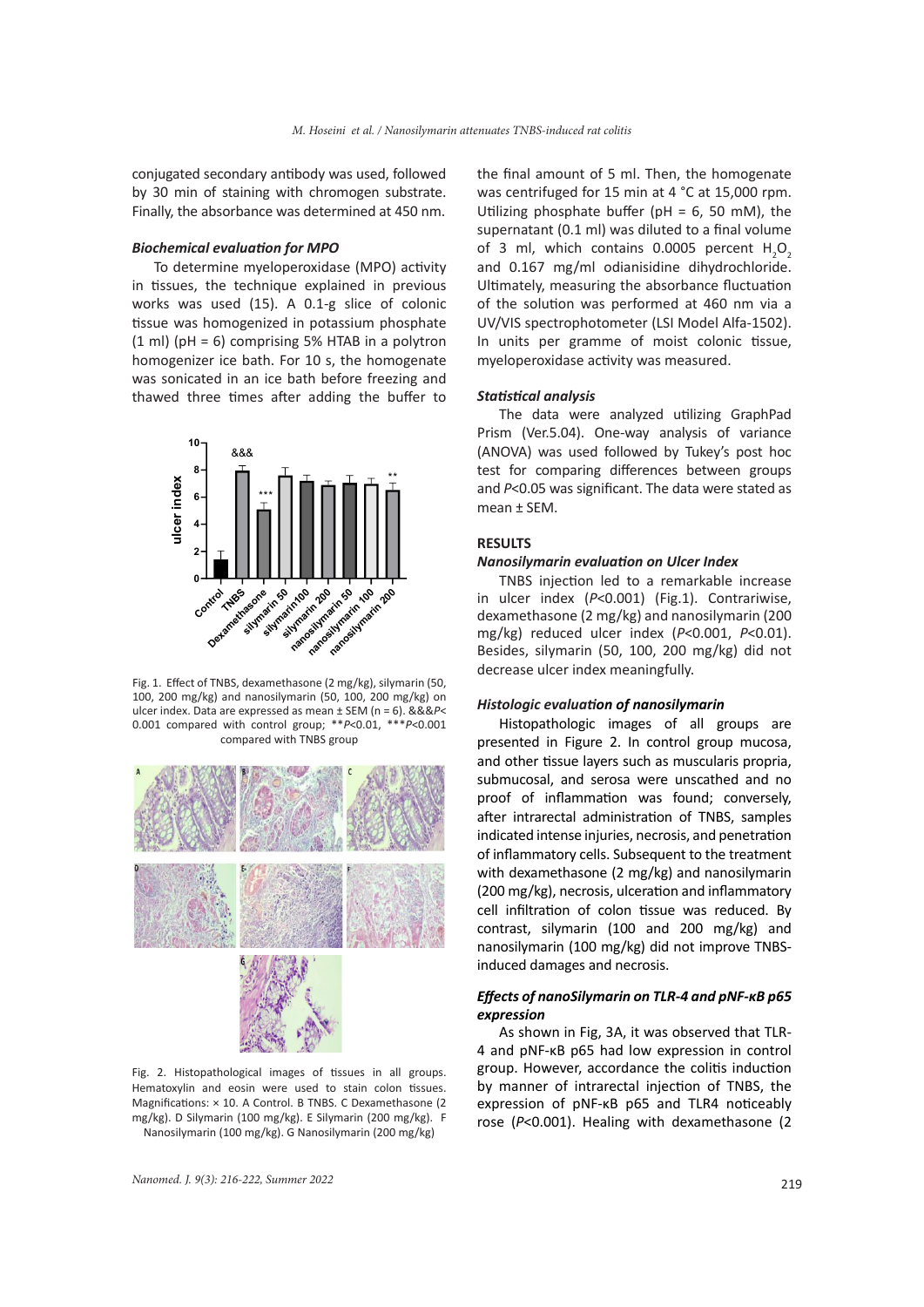conjugated secondary antibody was used, followed by 30 min of staining with chromogen substrate. Finally, the absorbance was determined at 450 nm.

## *Biochemical evaluation for MPO*

To determine myeloperoxidase (MPO) activity in tissues, the technique explained in previous works was used (15). A 0.1-g slice of colonic tissue was homogenized in potassium phosphate (1 ml) (pH = 6) comprising 5% HTAB in a polytron homogenizer ice bath. For 10 s, the homogenate was sonicated in an ice bath before freezing and thawed three times after adding the buffer to



Fig. 1. Effect of TNBS, dexamethasone (2 mg/kg), silymarin (50, 100, 200 mg/kg) and nanosilymarin (50, 100, 200 mg/kg) on ulcer index. Data are expressed as mean ± SEM (n = 6). &&&*P*< 0.001 compared with control group; \*\**P*<0.01, \*\*\**P*<0.001 compared with TNBS group



Fig. 2. Histopathological images of tissues in all groups. Hematoxylin and eosin were used to stain colon tissues. Magnifications: × 10. A Control. B TNBS. C Dexamethasone (2 mg/kg). D Silymarin (100 mg/kg). E Silymarin (200 mg/kg). F Nanosilymarin (100 mg/kg). G Nanosilymarin (200 mg/kg)

the final amount of 5 ml. Then, the homogenate was centrifuged for 15 min at 4 °C at 15,000 rpm. Utilizing phosphate buffer (pH =  $6$ , 50 mM), the supernatant (0.1 ml) was diluted to a final volume of 3 ml, which contains 0.0005 percent  $H_2O_2$ and 0.167 mg/ml odianisidine dihydrochloride. Ultimately, measuring the absorbance fluctuation of the solution was performed at 460 nm via a UV/VIS spectrophotometer (LSI Model Alfa-1502). In units per gramme of moist colonic tissue, myeloperoxidase activity was measured.

#### *Statistical analysis*

The data were analyzed utilizing GraphPad Prism (Ver.5.04). One-way analysis of variance (ANOVA) was used followed by Tukey's post hoc test for comparing differences between groups and *P*<0.05 was significant. The data were stated as mean ± SEM.

#### **RESULTS**

## *Nanosilymarin evaluation on Ulcer Index*

TNBS injection led to a remarkable increase in ulcer index (*P*<0.001) (Fig.1). Contrariwise, dexamethasone (2 mg/kg) and nanosilymarin (200 mg/kg) reduced ulcer index (*P*<0.001, *P*<0.01). Besides, silymarin (50, 100, 200 mg/kg) did not decrease ulcer index meaningfully.

## *Histologic evaluation of nanosilymarin*

Histopathologic images of all groups are presented in Figure 2. In control group mucosa, and other tissue layers such as muscularis propria, submucosal, and serosa were unscathed and no proof of inflammation was found; conversely, after intrarectal administration of TNBS, samples indicated intense injuries, necrosis, and penetration of inflammatory cells. Subsequent to the treatment with dexamethasone (2 mg/kg) and nanosilymarin (200 mg/kg), necrosis, ulceration and inflammatory cell infiltration of colon tissue was reduced. By contrast, silymarin (100 and 200 mg/kg) and nanosilymarin (100 mg/kg) did not improve TNBSinduced damages and necrosis.

## *Effects of nanoSilymarin on TLR-4 and pNF-κB p65 expression*

As shown in Fig, 3A, it was observed that TLR-4 and pNF-κB p65 had low expression in control group. However, accordance the colitis induction by manner of intrarectal injection of TNBS, the expression of pNF-κB p65 and TLR4 noticeably rose (*P*<0.001). Healing with dexamethasone (2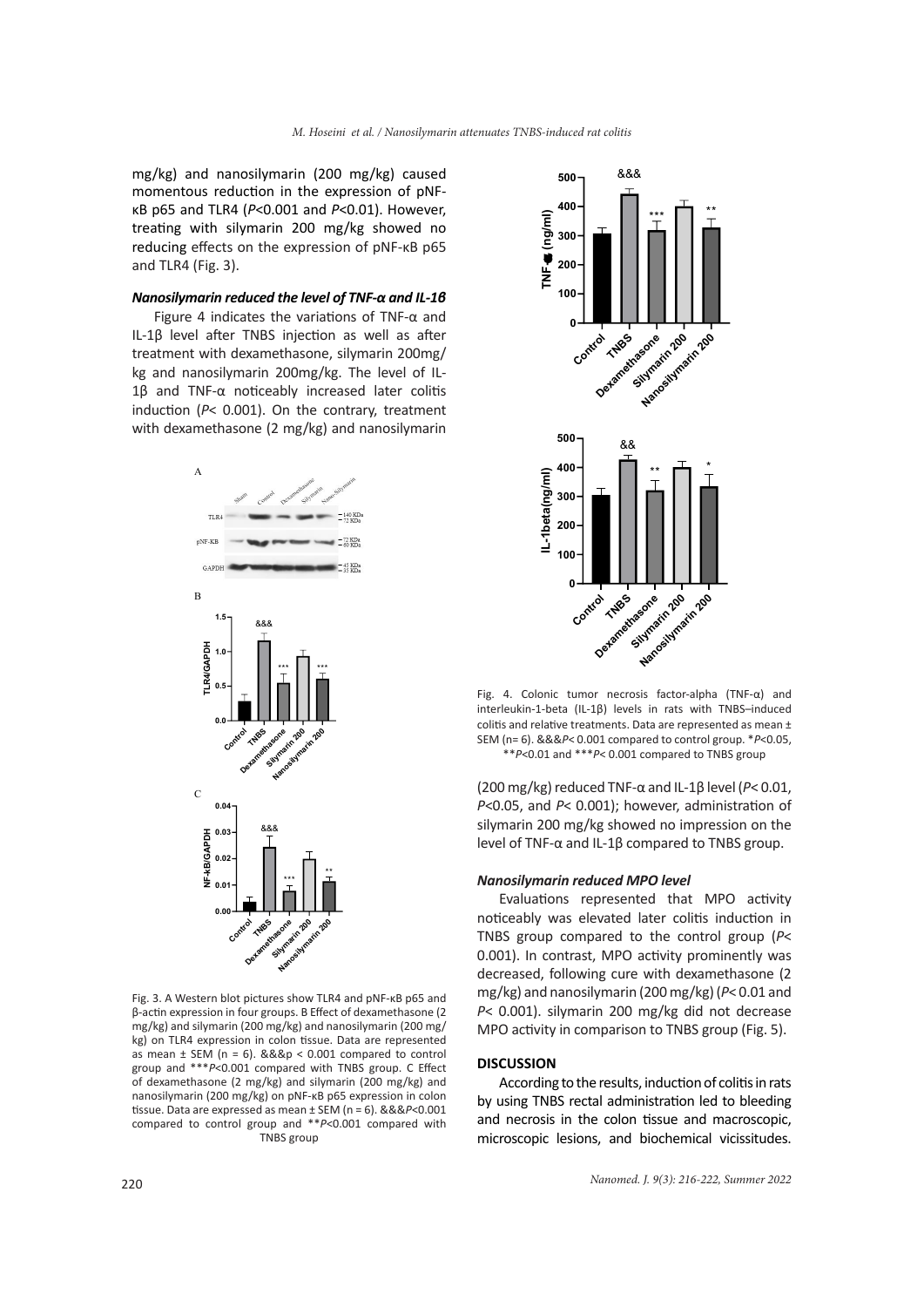mg/kg) and nanosilymarin (200 mg/kg) caused momentous reduction in the expression of pNFκB p65 and TLR4 (*P*<0.001 and *P*<0.01). However, treating with silymarin 200 mg/kg showed no reducing effects on the expression of pNF-κB p65 and TLR4 (Fig. 3).

## *Nanosilymarin reduced the level of TNF-α and IL-1β*

Figure 4 indicates the variations of TNF-α and IL-1β level after TNBS injection as well as after treatment with dexamethasone, silymarin 200mg/ kg and nanosilymarin 200mg/kg. The level of IL-1β and TNF-α noticeably increased later colitis induction (*P*< 0.001). On the contrary, treatment with dexamethasone (2 mg/kg) and nanosilymarin



Fig. 3. A Western blot pictures show TLR4 and pNF-κB p65 and β-actin expression in four groups. B Effect of dexamethasone (2 mg/kg) and silymarin (200 mg/kg) and nanosilymarin (200 mg/ kg) on TLR4 expression in colon tissue. Data are represented as mean  $\pm$  SEM (n = 6). &&&p < 0.001 compared to control group and \*\*\**P*<0.001 compared with TNBS group. C Effect of dexamethasone (2 mg/kg) and silymarin (200 mg/kg) and nanosilymarin (200 mg/kg) on pNF-κB p65 expression in colon tissue. Data are expressed as mean ± SEM (n = 6). &&&*P*<0.001 compared to control group and \*\**P*<0.001 compared with TNBS group



Fig. 4. Colonic tumor necrosis factor-alpha (TNF-α) and interleukin-1-beta (IL-1β) levels in rats with TNBS–induced colitis and relative treatments. Data are represented as mean ± SEM (n= 6). &&&*P*< 0.001 compared to control group. \**P*<0.05,

\*\**P*<0.01 and \*\*\**P*< 0.001 compared to TNBS group

(200 mg/kg) reduced TNF-α and IL-1β level (*P*< 0.01, *P*<0.05, and *P*< 0.001); however, administration of silymarin 200 mg/kg showed no impression on the level of TNF-α and IL-1β compared to TNBS group.

#### *Nanosilymarin reduced MPO level*

Evaluations represented that MPO activity noticeably was elevated later colitis induction in TNBS group compared to the control group (*P*< 0.001). In contrast, MPO activity prominently was decreased, following cure with dexamethasone (2 mg/kg) and nanosilymarin (200 mg/kg) (*P*< 0.01 and *P*< 0.001). silymarin 200 mg/kg did not decrease MPO activity in comparison to TNBS group (Fig. 5).

## **DISCUSSION**

According to the results, induction of colitis in rats by using TNBS rectal administration led to bleeding and necrosis in the colon tissue and macroscopic, microscopic lesions, and biochemical vicissitudes.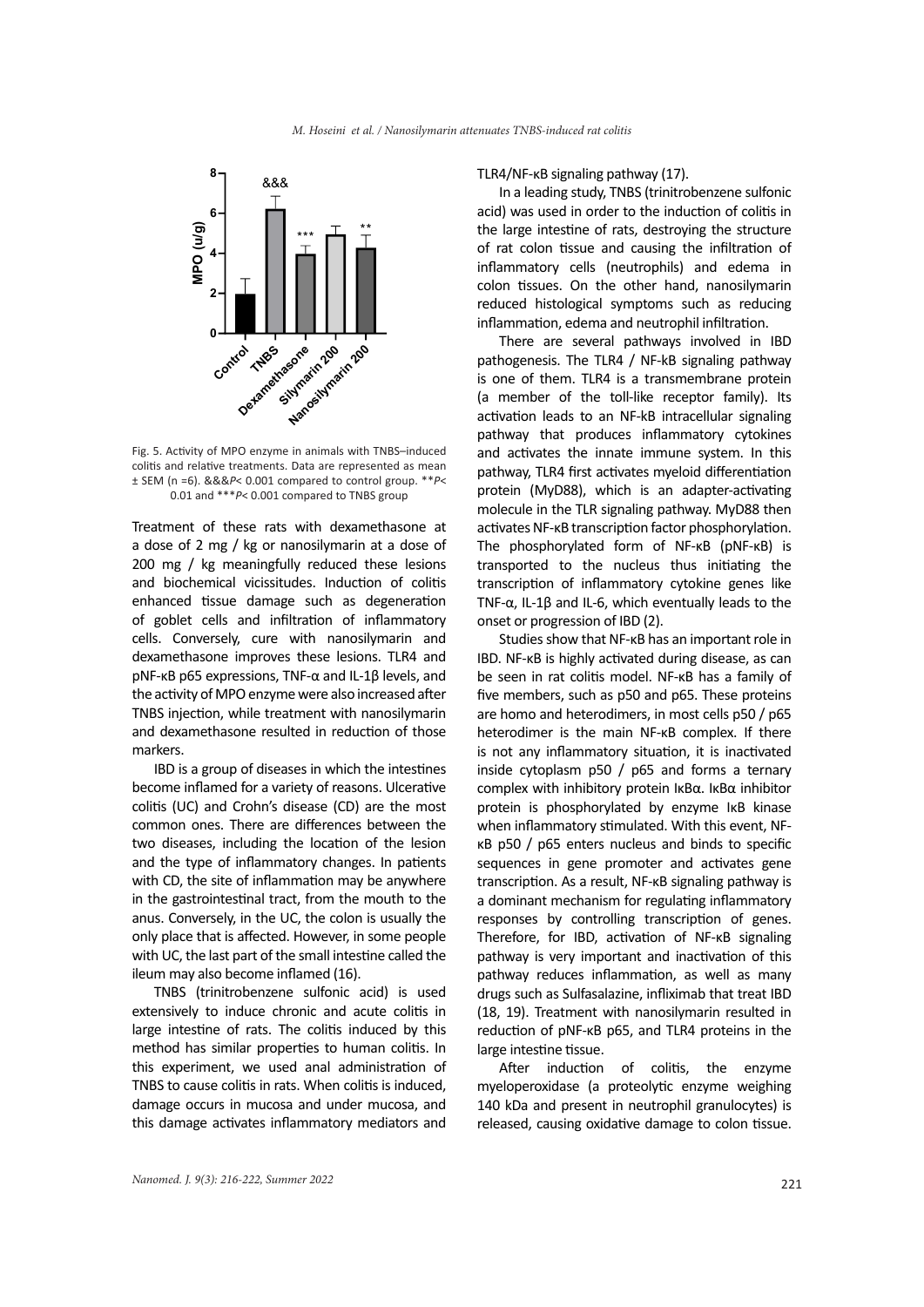

Fig. 5. Activity of MPO enzyme in animals with TNBS–induced colitis and relative treatments. Data are represented as mean ± SEM (n =6). &&&*P*< 0.001 compared to control group. \*\**P*< 0.01 and \*\*\**P*< 0.001 compared to TNBS group

Treatment of these rats with dexamethasone at a dose of 2 mg / kg or nanosilymarin at a dose of 200 mg / kg meaningfully reduced these lesions and biochemical vicissitudes. Induction of colitis enhanced tissue damage such as degeneration of goblet cells and infiltration of inflammatory cells. Conversely, cure with nanosilymarin and dexamethasone improves these lesions. TLR4 and pNF-κB p65 expressions, TNF-α and IL-1β levels, and the activity of MPO enzyme were also increased after TNBS injection, while treatment with nanosilymarin and dexamethasone resulted in reduction of those markers.

IBD is a group of diseases in which the intestines become inflamed for a variety of reasons. Ulcerative colitis (UC) and Crohn's disease (CD) are the most common ones. There are differences between the two diseases, including the location of the lesion and the type of inflammatory changes. In patients with CD, the site of inflammation may be anywhere in the gastrointestinal tract, from the mouth to the anus. Conversely, in the UC, the colon is usually the only place that is affected. However, in some people with UC, the last part of the small intestine called the ileum may also become inflamed (16).

TNBS (trinitrobenzene sulfonic acid) is used extensively to induce chronic and acute colitis in large intestine of rats. The colitis induced by this method has similar properties to human colitis. In this experiment, we used anal administration of TNBS to cause colitis in rats. When colitis is induced, damage occurs in mucosa and under mucosa, and this damage activates inflammatory mediators and TLR4/NF-κB signaling pathway (17).

In a leading study, TNBS (trinitrobenzene sulfonic acid) was used in order to the induction of colitis in the large intestine of rats, destroying the structure of rat colon tissue and causing the infiltration of inflammatory cells (neutrophils) and edema in colon tissues. On the other hand, nanosilymarin reduced histological symptoms such as reducing inflammation, edema and neutrophil infiltration.

There are several pathways involved in IBD pathogenesis. The TLR4 / NF-kB signaling pathway is one of them. TLR4 is a transmembrane protein (a member of the toll-like receptor family). Its activation leads to an NF-kB intracellular signaling pathway that produces inflammatory cytokines and activates the innate immune system. In this pathway, TLR4 first activates myeloid differentiation protein (MyD88), which is an adapter-activating molecule in the TLR signaling pathway. MyD88 then activates NF-κB transcription factor phosphorylation. The phosphorylated form of NF-κB (pNF-κB) is transported to the nucleus thus initiating the transcription of inflammatory cytokine genes like TNF-α, IL-1β and IL-6, which eventually leads to the onset or progression of IBD (2).

Studies show that NF-κB has an important role in IBD. NF-κB is highly activated during disease, as can be seen in rat colitis model. NF-κB has a family of five members, such as p50 and p65. These proteins are homo and heterodimers, in most cells p50 / p65 heterodimer is the main NF-κB complex. If there is not any inflammatory situation, it is inactivated inside cytoplasm p50 / p65 and forms a ternary complex with inhibitory protein IκBα. IκBα inhibitor protein is phosphorylated by enzyme IκB kinase when inflammatory stimulated. With this event, NFκB p50 / p65 enters nucleus and binds to specific sequences in gene promoter and activates gene transcription. As a result, NF-κB signaling pathway is a dominant mechanism for regulating inflammatory responses by controlling transcription of genes. Therefore, for IBD, activation of NF-κB signaling pathway is very important and inactivation of this pathway reduces inflammation, as well as many drugs such as Sulfasalazine, infliximab that treat IBD (18, 19). Treatment with nanosilymarin resulted in reduction of pNF-κB p65, and TLR4 proteins in the large intestine tissue.

After induction of colitis, the enzyme myeloperoxidase (a proteolytic enzyme weighing 140 kDa and present in neutrophil granulocytes) is released, causing oxidative damage to colon tissue.